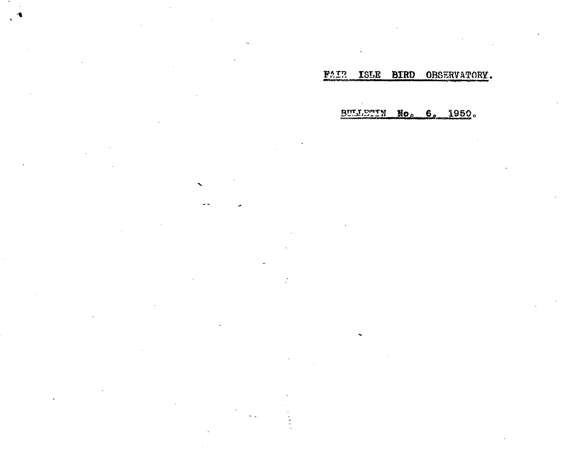FAIR ISLE BIRD OBSERVATORY.

**BULLETIN No. 6, 1950.** 

 $\cdot$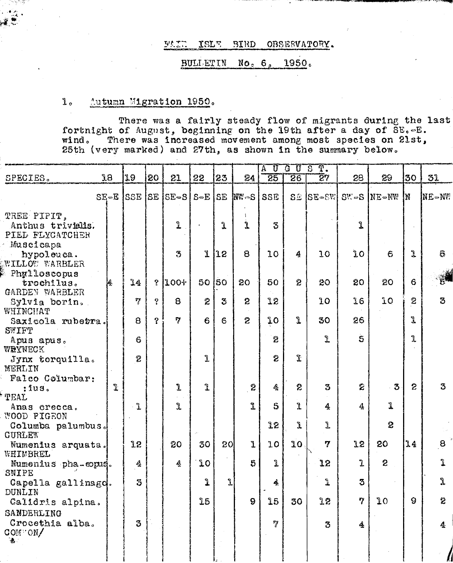#### OBSESVATORY. **SAID ISLE BIRD**

#### **BULLETIN**  $No<sub>e</sub> 6<sub>n</sub>$ 1950.

### $1\,$   $\,$ Autumn Migration 1950.

There was a fairly steady flow of migrants during the last fortnight of August, beginning on the 19th after a day of SE.-E. There was increased movement among most species on 21st, wind. 25th (very marked) and 27th, as shown in the summary below.

| SPECIES.                                            | <b>J8</b> | 19             | 20           | 21                                     | 22               | 23              | 24             | ᠊᠊ᢆण<br>$\overline{\text{A}}$<br>25 | 30S<br>26       | $\overline{\mathrm{T}}$ .<br>$\overline{2}7$ | 28             | 29                 | 30             | 31                 |
|-----------------------------------------------------|-----------|----------------|--------------|----------------------------------------|------------------|-----------------|----------------|-------------------------------------|-----------------|----------------------------------------------|----------------|--------------------|----------------|--------------------|
|                                                     |           |                |              | $SE-E$ SSE SE $SE-S$ $S-E$ $SE$ $MW-S$ |                  |                 |                | SSE                                 | $S \mathcal{D}$ | $ SE-SW $                                    |                | $SV = S$ NE $-W$ W |                | Ine-nv             |
| TREE PIPIT,<br>Anthus trivialis.<br>PIEL FLYCATCHER |           |                |              | ı                                      |                  | Ĵ.              | Ĺ              | 3                                   |                 |                                              | l              |                    |                |                    |
| Muscicapa<br>hypoleuca.<br>WILLOW WARBLER           |           |                |              | 3                                      | $\mathbf{I}$     | 12              | $\mathbf{B}$   | 10                                  | 4               | 10                                           | ĴΟ             | 6                  | L              | 6                  |
| Phylloscopus<br>trochilus.<br>GARDEN WARBLER        | Ą         | 14             | $\gamma$     | $100+$                                 | 50               | lso             | 20             | 50                                  | $\hat{z}$       | 20                                           | 20             | 20                 | 6              |                    |
| Sylvia borin.<br>WHINCHAT                           |           | 77             | $\bullet$    | 8                                      | $\boldsymbol{z}$ | $\mathfrak{S}$  | $\mathbf{c}$   | 12                                  |                 | 10                                           | 36             | îΟ                 | 2              | 3                  |
| Saxicola rubetra.<br>SWIFT                          |           | 8              | $\mathbf{S}$ | $\overline{7}$                         | 6                | 6               | $\overline{2}$ | îΟ                                  | î               | 30                                           | 26             |                    | l              |                    |
| Apus apus.<br>WRYNECK                               |           | 6              |              |                                        |                  |                 |                | 2                                   |                 | ı                                            | $\overline{5}$ |                    | 1              |                    |
| Jynx torquilla.<br><b>MERLIN</b>                    |           | $\overline{c}$ |              |                                        | Ĩ.               |                 |                | $\overline{c}$                      | $\mathfrak{X}$  |                                              |                |                    |                |                    |
| Falco Columbar:<br>:ius.<br><b>TEAL</b>             | Ĩ.        |                |              | 1                                      | ĩ                |                 | $\pmb{2}$      | $\pmb{\delta}_t$                    | 2               | 3                                            | Ź              | $-3$               | $\overline{c}$ | 3                  |
| Anas crecca.<br>WOOD PIGEON                         |           | $\mathbf{I}$   |              | ı                                      |                  |                 | Ĵ.             | $\mathsf S$                         | Ĵ.              | 4                                            | $\mathbf{4}$   | Ĵ.                 |                |                    |
| Columba palumbus.<br>CURLEW                         |           |                |              |                                        |                  |                 |                | 32                                  | Ĵ.              | L                                            |                | 2                  |                |                    |
| Numenius arquata.<br>WHIMBREL                       |           | 12             |              | 20                                     | 30               | 20 <sub>l</sub> | ľ              | 10                                  | 10              | $\boldsymbol{7}$                             | 12             | 20                 | 34             | 8                  |
| Numenius pha-eopus.<br>SNIPE                        |           | $\Delta$       |              | 4                                      | 10               |                 | 5              | ı                                   |                 | 12                                           | $\mathbf{I}$   | $\overline{c}$     |                | $\mathbf{\hat{I}}$ |
| Capella gallinagd.<br>DUNLIN                        |           | 3              |              |                                        | ı                | 1               |                | 4                                   |                 | Ĵ.                                           | 3              |                    |                | $\mathbf{J}$       |
| Calidris alpina.<br>SANDERLING                      |           |                |              |                                        | 25               |                 | 9              | 15                                  | 30              | 12                                           | 7              | 10                 | $\mathbf{Q}$   | 2                  |
| Crocethia alba.<br>COM ON/<br>₫.                    |           | 3              |              |                                        |                  |                 |                | $\mathcal{I}$                       |                 | 3                                            | 4              |                    |                | 4                  |
|                                                     |           |                |              |                                        |                  |                 |                |                                     |                 |                                              |                |                    |                |                    |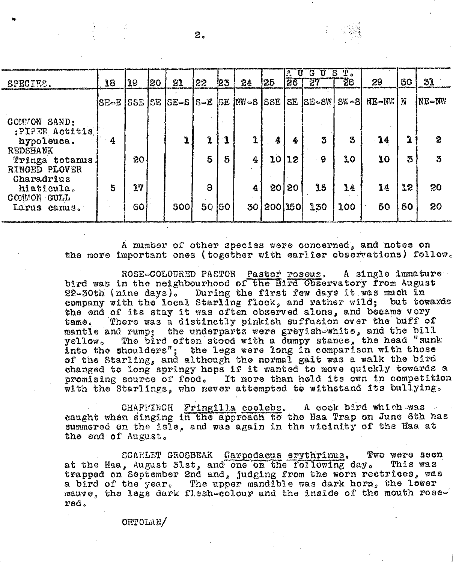| SPECIES.                                                                                           | 18 | 19       | 20 | 21                                | 22      | 123 | 24                        | !25           | E.<br>-91<br>28 | ίż.<br>្រ<br>27 | ъ.<br>Ί.<br>28     | 88           | 30       | 31       |
|----------------------------------------------------------------------------------------------------|----|----------|----|-----------------------------------|---------|-----|---------------------------|---------------|-----------------|-----------------|--------------------|--------------|----------|----------|
|                                                                                                    |    |          |    | SE-E   SSE   SE   SE-S   S-E   SE |         |     | $ \mathbb{N} = S   SSE  $ |               |                 | $SE$ $ SE-SW $  | l S‰⇒SI            | <b>HE-NW</b> | N        | NE-NW    |
| COMMON SAND:<br>:PIPER Actitis<br>hypoleuca.<br><b>REDSHANK</b><br>Tringa totanus<br>RINGED PLOVER | 4  | 20       |    | ľ                                 | Ĵ<br>5  | 5   | 1<br>4                    | 4<br>10       | 4<br>12         | 3<br>-9         | $\mathbf{3}$<br>10 | 14<br>10     | ı<br>3   | 2<br>3   |
| Charadrius<br>hiaticula.<br>COMMON GULL<br>Larus canus.                                            | 5  | 17<br>60 |    | 500                               | 8<br>50 | 150 | 4<br>30                   | 20<br>200 150 | 20              | 35<br>130       | 14<br>100          | 14<br>50     | 12<br>50 | 20<br>20 |

A number of other species were concerned, and notes on the more important ones (together with earlier observations) follow.

ROSE-COLOURED PASTOR Pastor roseus. A single immature bird was in the neighbourhood of the Bird Observatory from August 22-30th (nine days). During the first few days it was much in company with the local Starling flock, and rather wild; but towards the end of its stay it was often observed alone, and became very There was a distinctly pinkish suffusion over the buff of tamo. mantle and rump: the underparts were greyish-white, and the bill yellow. The bird often stood with a dumpy stance, the head "sunk into the shoulders"; the legs were long in comparison with those of the Starling, and although the normal gait was a walk the bird changed to long springy hops if it wanted to move quickly towards a promising source of food. It more than held its own in competition with the Starlings, who never attempted to withstand its bullying.

CHAFFTNCH Fringilla coelebs. A cock bird which was caught when singing in the approach to the Haa Trap on June 6th has summered on the isle, and was again in the vicinity of the Haa at the end of August.

Two were seen SCARLET GROSBEAK Carpodacus erythrinus. at the Haa, August 31st, and one on the following day. This was trapped on September 2nd and, judging from the worn rectrices, was a bird of the year. The upper mandible was dark horn, the lower mauve, the legs dark flesh-colour and the inside of the mouth rosered.

# ORTOLAN/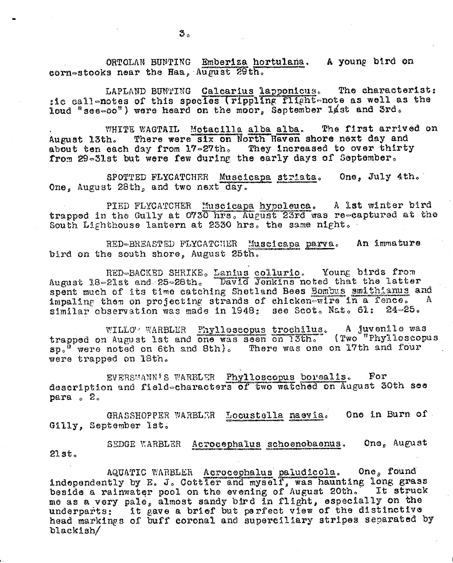ORTOLAN BUNTING Emberiza hortulana. A young bird on corn-stocks near the Haa, August 29th.

LAPLAND BUNTING Calcarius lapponicus. The characterist: aid callenotes of this species (rippling flight-note as well as the loud "see-oo") were heard on the moor, September 14st and 3rd.

WHITE WAGTAIL Motacilla alba alba. The first arrived on There were six on North Haven shore next day and August 13th. about ten each day from 17-27th. They increased to over thirty from 29-31st but were few during the early days of September.

One, July 4th. SPOTTED FLYCATCHER Muscicapa striata. One, August 28th, and two next day.

PIED FLYCATCHER Muscicapa hypoleuca. A lst winter bird trapped in the Gully at 0730 hrs. August 23rd was re-captured at the South Lighthouse lantern at 2330 hrs. the same night.

An immature RED-BREASTED FLYCATCHER Muscicapa parva. bird on the south shore, August 25th.

RED-BACKED SHRIKE. Lanius collurio. Young birds from<br>21st and 25-28th. David Jonkins noted that the latter August 18-21st and 25-28th. spent much of its time catching Shetland Bees Bombus smithianus and impaling them on projecting strands of chicken-wire in a fence.  $\mathbf{A}$ similar observation was made in 1948; see Scot. Nat. 61:  $24 - 25.$ 

WILLOW WARBLER Phylloscopus trochilus. A juvenile was trapped on August 1st and one was seen on 13th. (Two "Phylloscopus sp." were noted on 6th and 8th). There was one on 17th and four were trapped on 18th.

EVERSMANN'S WARBLER Phylloscopus borealis.  $\mathbf{For}$ description and field-characters of two watched on August 30th see para . 2.

One in Burn of GRASSHOPPER WARBLER Locustella naevia. Gilly, September 1st.

SEDGE WARBLER Acrocephalus schoenobaenus. One, August  $21st.$ 

AQUATIC WARBLER Acrocephalus paludicola. One, found independently by E. J. Cottler and myself, was haunting long grass beside a rainwater pool on the evening of August 20th. It struck me as a very pale, almost sandy bird in flight, especially on the underparts: it gave a brief but perfect view of the distinctive head markings of buff coronal and superciliary stripes separated by blackish/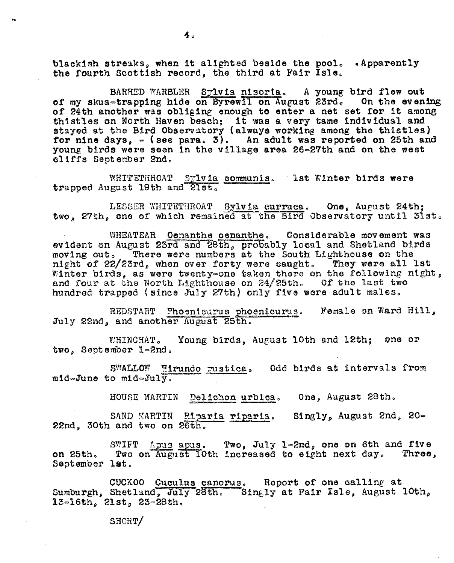blackish streaks, when it alighted beside the pool. . Apparently the fourth Scottish record, the third at Fair Isle.

BARRED WARBLER Sylvia nisoria. A young bird flew out of my skua-trapping hide on Byrewil on August 23rd. On the evening of 24th another was obliging enough to enter a net set for it among thistles on North Haven beach: it was a very tame individual and stayed at the Bird Observatory (always working among the thistles) for nine days,  $=($  see para. 3). An adult was reported on 25th and young birds were seen in the village area 26-27th and on the west cliffs September 2nd.

WHITETHROAT Sylvia communis. Ist Winter birds were trapped August 19th and 21st.

LESSER WHITETHROAT Sylvia curruca. One, August 24th; two. 27th, one of which remained at the Bird Observatory until 31st.

WHEATEAR Ocnanthe oenanthe. Considerable movement was evident on August 23rd and 28th, probably local and Shetland birds moving out. There were numbers at the South Lighthouse on the night of 22/23rd, when over forty were caught. They were all lat Winter birds, as were twenty-one taken there on the following night, and four at the North Lighthouse on  $24/25$ th. Of the last two hundred trapped (since July 27th) only five were adult males.

Female on Ward Hill, REDSTART Phoenicurus phoenicurus. July 22nd, and another August 25th.

Young birds, August 10th and 12th; one or WHINCHAT. two. September 1-2nd.

SWALLOW Hirundo rustica. Odd birds at intervals from mid-June to mid-July.

> HOUSE MARTIN Delichon urbica. One, August 28th.

SAND MARTIN Eiparia riparia. Singly, August 2nd, 20-22nd, 30th and two on 26th.

SWIFT Apus. Two, July 1-2nd, one on 6th and five Two on August Toth increased to eight next day. Three, on 25th. September lat.

Report of one calling at CUCKOO Cuculus canorus. Sumburgh, Shetland, July 28th. Singly at Fair Isle, August 10th,  $13 - 16th$ ,  $21st$ ,  $23 - 28th$ .

SHORT/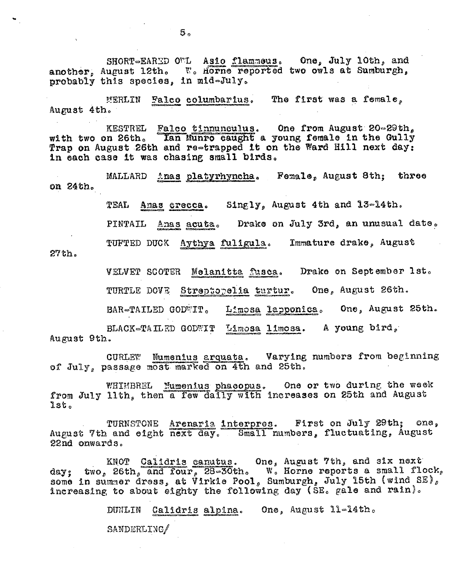SHORT-EARED OUL Asio flammous. One, July 10th, and another, August 12th. W. Horne reported two owls at Sumburgh, probably this species, in mid-July.

MERLIN Falco columbarius. The first was a female, August 4th.

KESTREL Falco tinnunculus. One from August 20-29th, with two on 26th. Ian Munro caught a young female in the Gully Trap on August 26th and re-trapped it on the Ward Hill next day: in each case it was chasing small birds.

MALLARD Anas platyrhyncha. Female, August 8th: three on 24th.

TEAL Amas crecca. Singly, August 4th and 13-14th.

Drake on July 3rd, an unusual date. PINTAIL Anas acuta.

TUFTED DUCK Aythya fuligula. Immature drake, August

 $27th.$ 

VELVET SCOTER Melanitta fusca. Drake on September 1st.

TURTLE DOVE Streptopelia turtur. One, August 26th.

BAR-TAILED GODWIT. Limosa lapponica. One, August 25th.

BLACK-TAILED GODWIT Limosa limosa. A young bird, August 9th.

CURLEW Numenius arquata. Varying numbers from beginning of July, passage most marked on 4th and 25th.

WHIMBREL Mumenius phacopus. One or two during the week from July 11th, then a few daily with increases on 25th and August  $1st.$ 

TURNSTONE Arenaria interpres. First on July 29th; one, August 7th and eight next day. Small numbers, fluctuating, August 22nd onwards.

KNOT Calidris canutus. One, August 7th, and six next<br>day; two, 26th, and four, 28-30th. W. Horne reports a small flock,<br>some in summer dress, at Virkle Pool, Sumburgh, July 15th (wind SE), increasing to about eighty the following day (SE. gale and rain).

DUNLIN Calidris alpina. One, August ll=14th.

SANDERLING/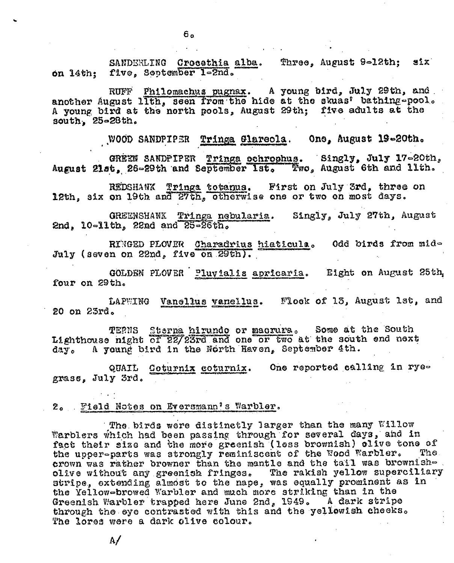SANDERLING Crocethia alba. Three, August 9-12th; six on 14th; five, September 1-2nd.

RUFF Philomachus pugnax. A young bird, July 29th, and another August lith, seen from the hide at the skuas' bathing-pool. A young bird at the north pools, August 29th; five adults at the south, 25-28th.

WOOD SANDPIPER Tringa Glareola. One, August 19-20th.

GREEN SANDPIPER Tringa ochrophus. Singly, July 17-20th, August 21st, 26-29th and September 1st. Two, August 6th and 11th.

REDSHAWK Trings totanus. First on July 3rd, three on 12th, six on 19th and 27th, otherwise one or two on most days.

GREENSHANK Tringa nebularia. Singly, July 27th, August 2nd, 10-11th, 22nd and 25-26th.

RINGED PLOVER Charadrius hiaticula. Odd birds from mid-July (seven on 22nd, five on 29th).

GOLDEN PLOVER Pluyialis apricaria. Eight on August 25th, four on 29th.

LAPWING Vanellus vanellus. Flock of 13, August 1st, and 20 on 23rd.

TERNS Sterna hirundo or macrura. Some at the South Lighthouse night of 22/23rd and one or two at the south end next A yound bird in the North Haven, September 4th. day.

QUAIL Coturnix coturnix. One reported calling in ryegrass, July 3rd.

2. Field Notes on Eversmann's Warbler.

The birds were distinctly larger than the many Willow Warblers which had been passing through for several days, and in fact their size and the more greenish (less brownish) olive tone of the upper-parts was strongly reminiscent of the Wood Warbler. The . crown was rather browner than the mantle and the tail was brownisholive without any greenish fringes. The rakish yellow superciliary stripe, extending almost to the nape, was equally prominent as in the Yellow-browed Warbler and much more striking than in the Greenish Warbler trapped here June 2nd, 1949. A dark stripe through the eye contrasted with this and the yellowish checks. The lores were a dark olive colour.

 $\Lambda/$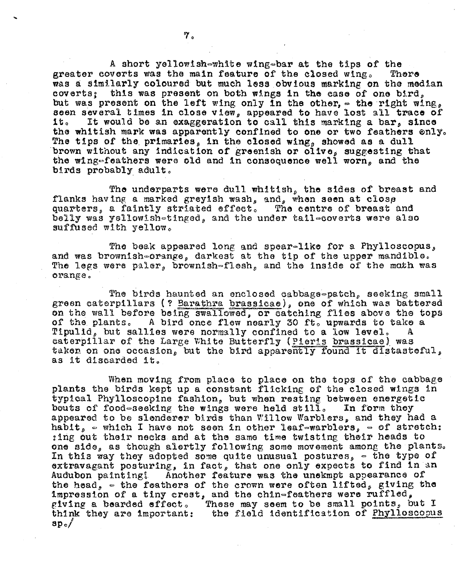A short yellowish-white wing-bar at the tips of the greater coverts was the main feature of the closed wing. There was a similarly coloured but much less obvious marking on the median coverts: this was present on both wings in the case of one bird. but was present on the left wing only in the other,  $\in$  the right wing, seen several times in close view, appeared to have lost all trace of it. It would be an exaggeration to call this marking a bar, since the whitish mark was apparently confined to one or two feathers enly. The tips of the primaries, in the closed wing, showed as a dull brown without any indication of greenish or olive, suggesting that the wing-feathers were old and in consequence well worn, and the birds probably adult.

The underparts were dull whitish, the sides of breast and flanks having a marked greyish wash, and, when seen at close quarters, a faintly striated effect. The centre of breast and belly was yellowish-tinged, and the under tail-coverts were also suffused with yellow.

The beak appeared long and spear-like for a Phylloscopus, and was brownish-orange, darkest at the tip of the upper mandible. The legs were paler, brownish-flesh, and the inside of the moth was orange.

The birds haunted an enclosed cabbage-patch, seeking small green caterpillars (? Barathra brassicae), one of which was battered on the wall before being swallowed, or catching flies above the tops of the plants. A bird once flew nearly 30 ft. upwards to take a Tipulid, but sallies were normally confined to a low level.  $\mathbf{A}$ caterpillar of the Large White Butterfly (Pieris brassicae) was taken on one occasion, but the bird apparently found it distasteful, as it discarded it.

When moving from place to place on the tops of the cabbage plants the birds kept up a constant flicking of the closed wings in typical Phylloscopine fashion, but when resting between energetic bouts of food-seeking the wings were held still. In form they appeared to be slenderer birds than Willow Warblers, and they had a habit,  $\circ$  which I have not seen in other leaf-warblers,  $\circ$  of stretch: :ing out their necks and at the same time twisting their heads to one side, as though alertly following some movement among the plants. In this way they adopted some quite unusual postures,  $\in$  the type of extravagant posturing, in fact, that one only expects to find in an Audubon painting! Another feature was the unekmpt appearance of the head,  $\in$  the feathers of the crown were often lifted, giving the impression of a tiny crest, and the chin-feathers were ruffled, giving a bearded effect. These may seem to be small points, but I think they are important: the field identification of Phylloscopus  $\mathbf{sp}_{\circ}\mathscr{J}$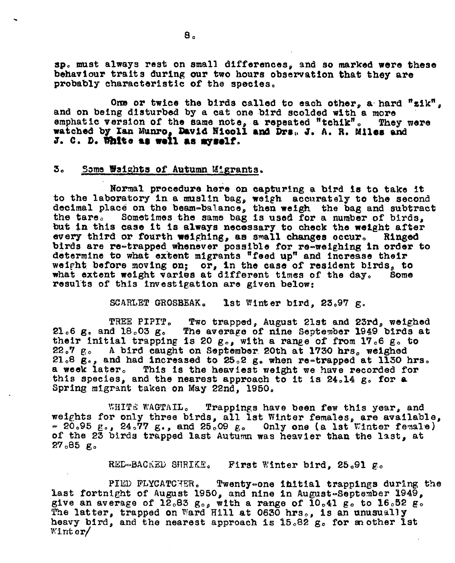sp. must always rest on small differences, and so marked were these behaviour traits during our two hours observation that they are probably characteristic of the species.

One or twice the birds called to each other, a hard "zik", and on being disturbed by a cat one bird scolded with a more emphatic version of the same note, a repeated "tchik". They watched by Ian Munro, David Nicoll and Drs. J. A. R. Miles and They were J. C. D. White as well as myself.

### 3。 Some Waights of Autumn Migrants.

Normal procedure here on capturing a bird is to take it to the laboratory in a muslin bag, weigh accurately to the second decimal place on the beam-balance, then weigh the bag and subtract Sometimes the same bag is used for a number of birds, the tare. but in this case it is always necessary to check the weight after every third or fourth weighing, as small changes occur. Ringed birds are re-trapped whenever possible for re-weighing in order to determine to what extent migrants "feed up" and increase their weight before moving on; or, in the case of resident birds, to what extent weight varies at different times of the day. Some results of this investigation are given below:

> SCARLET GROSBEAK. Ist Winter bird,  $23.97$  g.

TREE PIPIT. Two trapped, August 21st and 23rd, weighed 21.6 g. and 18.03 g. The average of nine September 1949 birds at their initial trapping is 20  $g_{0.9}$ , with a range of from 17.6  $g_{\circ}$  to 22.7 g. A bird caught on September 20th at 1730 hrs. weighed 21.8 g., and had increased to 25.2 g. when re-trapped at 1130 hrs. a week later. This is the heaviest weight we have recorded for this species, and the nearest approach to it is 24.14 g. for a Spring migrant taken on May 22nd. 1950.

WHITE WAGTAIL. Trappings have been few this year, and weights for only three birds, all lst Winter females, are available,  $\approx$  20.95 g., 24.77 g., and 25.09 g. Only one (a lst Winter female) of the 23 birds trapped last Autumn was heavier than the last, at  $27.85 g$ .

> RED-BACKED SHRIKE. First Winter bird, 25.91 g.

PIED FLYCATCHER. Twenty-one initial trappings during the last fortnight of August 1950, and nine in August-September 1949, give an average of  $12.83 g_{0.8}$  with a range of  $10.41 g_0$  to  $16.52 g_0$ . The latter, trapped on Ward Hill at 0630 hrs., is an unusually heavy bird, and the nearest approach is 15.82 g. for mother ist  $\mathbb{W}$ inter/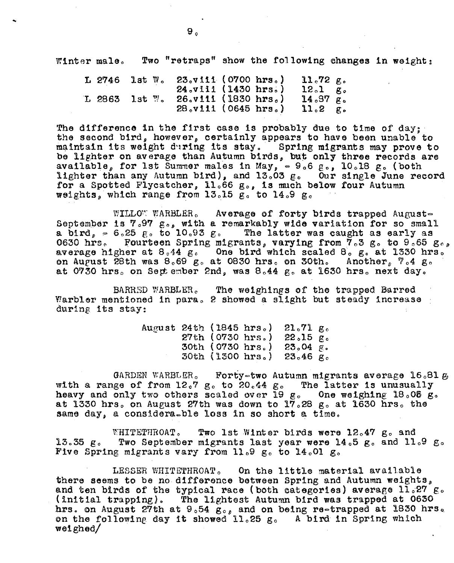Winter male. Two "retraps" show the following changes in weight:

| $L$ 2746 lst $W_o$ |  | $23_v$ viii (0700 hrs.) |  | $11.72 \rho$ .        |  |
|--------------------|--|-------------------------|--|-----------------------|--|
|                    |  | 24.viii (1430 hrs.)     |  | $12.1 \quad \text{R}$ |  |
| $L$ 2863 lst $W_0$ |  | $26.$ v111 (1830 hrs.)  |  | $14.97 \text{ g}$     |  |
|                    |  | $28_v$ viii (0645 hrs.) |  | $11.2 \text{ g.}$     |  |

The difference in the first case is probably due to time of day;<br>the second bird, however, certainly appears to have been unable to maintain its weight during its stay. Spring migrants may prove to be lighter on average than Autumn birds, but only three records are available, for 1st Summer males in May,  $\approx 9.6 \text{ g}$ , 10.18 g. (both lighter than any Autumn bird), and 13.03 g. Our single June record for a Spotted Flycatcher, 11.66 g., is much below four Autumn weights, which range from  $13.15$   $g_0$  to  $14.9$   $g_0$ 

 $\texttt{WILLO}\%$  WARBLER. Average of forty birds trapped August-September 1s  $7.97$   $g_{o}$ , with a remarkably wide variation for so small a bird,  $\approx 6.25$  g. to 10.93 g. The latter was caught as early as 0630 hrs. Fourteen Spring migrants, varying from  $7.3$  g. to 9.65 g., average higher at  $8.44 \text{ g}$ . One bird which scaled  $8^\circ$  go at 1330 hrs. on August 28th was  $8.69$  g. at 0830 hrs. on 30th. Another,  $7.4$  g. at 0730 hrs. on September 2nd, was  $8.44$  g. at 1630 hrs. next day.

BARRED WARBLER. The weighings of the trapped Barred Warbler mentioned in para. 2 showed a slight but steady increase during its stay:

| August 24th (1845 hrs.) |                    | $21.71 \text{ g}$ . |  |
|-------------------------|--------------------|---------------------|--|
|                         | $27th$ (0730 hrs.) | $22.15 g_c$         |  |
|                         | 30th (0730 hrs.)   | $23.04 \times$      |  |
|                         | 30th (1300 hrs.)   | $23.46 g$ .         |  |

GARDEN WARBLER. Forty-two Autumn migrants average 16.81  $g$ . with a range of from  $12.7$  g. to  $20.44$  g. The latter is unusually heavy and only two others scaled over 19  $\alpha$ . One weighing 18.06  $\alpha$ . at 1330 hrs. on August 27th was down to  $17.28$  g. at 1630 hrs. the same day, a considera=ble loss in so short a time.

\~.'HITETTIHOATo Two 1st Winter birds were 12047 go and 13.35  $g_c$  Two September migrants last year were 14.5  $g_c$  and 11.9  $g_c$ Five Spring migrants vary from 11.9  $g_0$  to 14.01  $g_0$ 

LESSER WHITETHROAT. On the little material available there seems to be no difference between Spring and Autumn weights, and ten birds of the typical race (both categories) average  $11.27$  g. (initial trapping). The lightest Autumn bird was trapped at  $0630$ hrs. on August 27th at 9.54  $g_{\circ}$ , and on being re=trapped at 1830 hrs. on the following day it showed 11.25 g. A bird in Spring which welghed/

..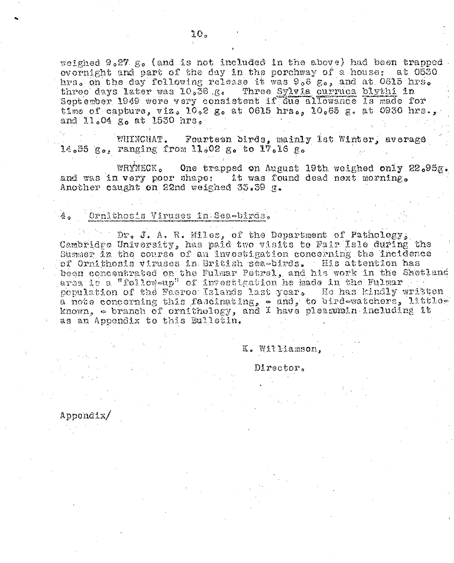weighed  $9.27. g_o$  (and is not included in the above) had been trapped. evernight and part of the day in the porchway of a house; at 0530 hrs. on the day following release it was 9.6 g., and at 0615 hrs. three days later was 10.38 g. Three Sylvia curruca blythi in September 1949 were very consistent if due allowance is made for time of capture, viz.  $10.2$  g. at 0615 hrs.,  $10.65$  g. at 0930 hrs., and 11.04 g. at 1550 hrs.

WHINCHAT. Fourteen birds, mainly 1st Winter, average 14.55 g., ranging from 11.02 g. to 17.16 g.

WRYNECK. One trapped on August 19th weighed only 22.95g. it was found dead next morning. and was in very poor shape: Another caught on 22nd weighed 35.39 g.

### Ornithosis Viruses in Sea-birds.

Dr. J. A. R. Miles. of the Department of Pathology. Cambridge University, has paid two visits to Fair Isle during the Summer in the course of an investigation concerning the incidence of Ornithosis viruses in British sea-birds. His attention has been concentrated on the Fulmar Petrel, and his work in the Shetland area is a "follow-up" of investigation he hade in the Fulmar population of the Faeroe Islands last year. He has kindly written a note concerning this fascinating, - and, to bird-watchers, littleknown, - branch of ornithology, and I have pleasure including it as an Appendix to this Bulletin.

### K. Williamson.

Director.

Appendix/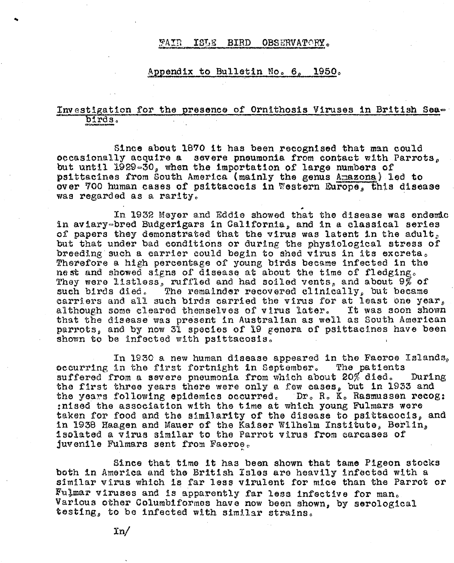### ISLE BIRD OBSERVATORY. FAIR

## Appendix to Bulletin No. 6, 1950.

## Investigation for the presence of Ornithosis Viruses in British Seabirds.

Since about 1870 it has been recognised that man could occasionally acquire a severe pneumonia from contact with Parrots. but until 1929-30, when the importation of large numbers of psittacines from South America (mainly the genus Amazona) led to over 700 human cases of psittacocis in Western Europe. this disease was regarded as a rarity.

In 1932 Meyer and Eddie showed that the disease was endemic in aviary-bred Budgerigars in California, and in a classical series of papers they demonstrated that the virus was latent in the adult, but that under bad conditions or during the physiological stress of breeding such a carrier could begin to shed virus in its excreta. Therefore a high percentage of young birds became infected in the nest and showed signs of disease at about the time of fledging. They were listless, ruffled and had soiled vents, and about  $9\%$  of The remainder recovered clinically, but became such birds died. carriers and all such birds carried the virus for at least one year, although some cleared themselves of virus later. It was soon shown that the disease was present in Australian as well as South American parrots, and by now 31 species of 19 genera of psittacines have been shown to be infected with psittacosis.

In 1930 a new human disease appeared in the Faeroe Islands, occurring in the first fortnight in September. The patients suffered from a severe pneumonia from which about 20% died. During the first three years there were only a few cases, but in 1933 and the years following epidemics occurred. Dr. R. K. Rasmussen recog: :nised the association with the time at which young Fulmars were taken for food and the similarity of the disease to psittacocis, and in 1938 Haagen and Mauer of the Kaiser Wilhelm Institute, Berlin, isolated a virus similar to the Parrot virus from carcases of juvenile Fulmars sent from Faeroe.

Since that time it has been shown that tame Pigeon stocks both in America and the British Isles are heavily infected with a similar virus which is far less virulent for mice than the Parrot or Fulmar viruses and is apparently far less infective for man. Various other Columbiformes have now been shown, by serological testing, to be infected with similar strains.

 $\ln/$